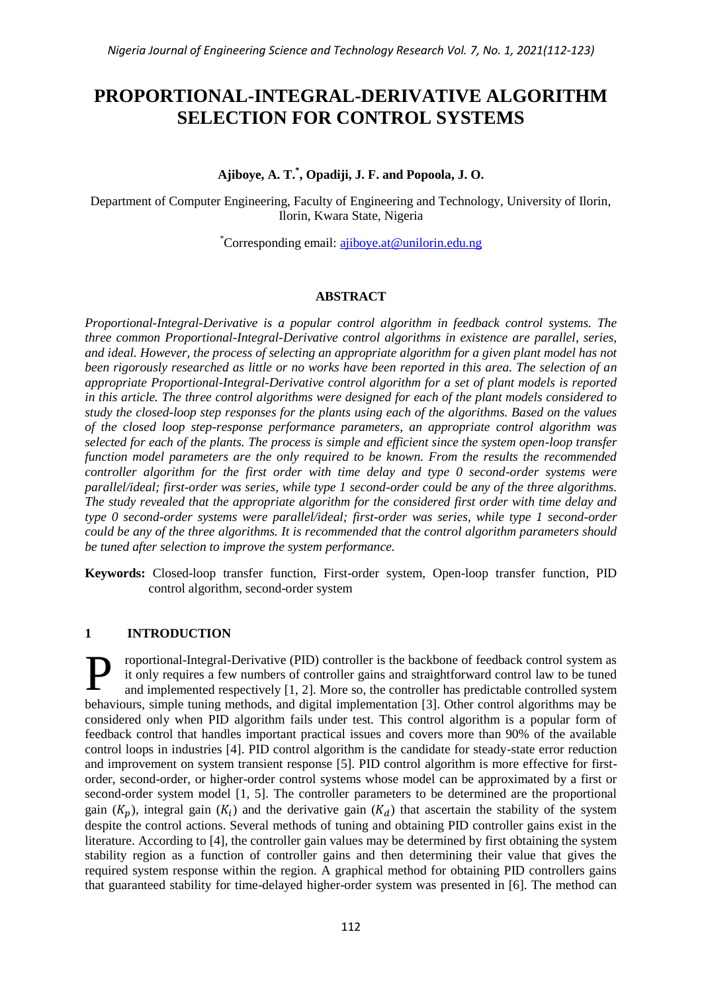# **PROPORTIONAL-INTEGRAL-DERIVATIVE ALGORITHM SELECTION FOR CONTROL SYSTEMS**

**Ajiboye, A. T.\* , Opadiji, J. F. and Popoola, J. O.**

Department of Computer Engineering, Faculty of Engineering and Technology, University of Ilorin, Ilorin, Kwara State, Nigeria

\*Corresponding email: [ajiboye.at@unilorin.edu.ng](mailto:ajiboye.at@unilorin.edu.ng)

# **ABSTRACT**

*Proportional-Integral-Derivative is a popular control algorithm in feedback control systems. The three common Proportional-Integral-Derivative control algorithms in existence are parallel, series, and ideal. However, the process of selecting an appropriate algorithm for a given plant model has not been rigorously researched as little or no works have been reported in this area. The selection of an appropriate Proportional-Integral-Derivative control algorithm for a set of plant models is reported in this article. The three control algorithms were designed for each of the plant models considered to study the closed-loop step responses for the plants using each of the algorithms. Based on the values of the closed loop step-response performance parameters, an appropriate control algorithm was selected for each of the plants. The process is simple and efficient since the system open-loop transfer function model parameters are the only required to be known. From the results the recommended controller algorithm for the first order with time delay and type 0 second-order systems were parallel/ideal; first-order was series, while type 1 second-order could be any of the three algorithms. The study revealed that the appropriate algorithm for the considered first order with time delay and type 0 second-order systems were parallel/ideal; first-order was series, while type 1 second-order could be any of the three algorithms. It is recommended that the control algorithm parameters should be tuned after selection to improve the system performance.*

**Keywords:** Closed-loop transfer function, First-order system, Open-loop transfer function, PID control algorithm, second-order system

# **1 INTRODUCTION**

roportional-Integral-Derivative (PID) controller is the backbone of feedback control system as it only requires a few numbers of controller gains and straightforward control law to be tuned and implemented respectively [1, 2]. More so, the controller has predictable controlled system behaviours, simple tuning methods, and digital implementation [3]. Other control algorithms may be considered only when PID algorithm fails under test. This control algorithm is a popular form of feedback control that handles important practical issues and covers more than 90% of the available control loops in industries [4]. PID control algorithm is the candidate for steady-state error reduction and improvement on system transient response [5]. PID control algorithm is more effective for firstorder, second-order, or higher-order control systems whose model can be approximated by a first or second-order system model [1, 5]. The controller parameters to be determined are the proportional gain  $(K_p)$ , integral gain  $(K_i)$  and the derivative gain  $(K_d)$  that ascertain the stability of the system despite the control actions. Several methods of tuning and obtaining PID controller gains exist in the literature. According to [4], the controller gain values may be determined by first obtaining the system stability region as a function of controller gains and then determining their value that gives the required system response within the region. A graphical method for obtaining PID controllers gains that guaranteed stability for time-delayed higher-order system was presented in [6]. The method can P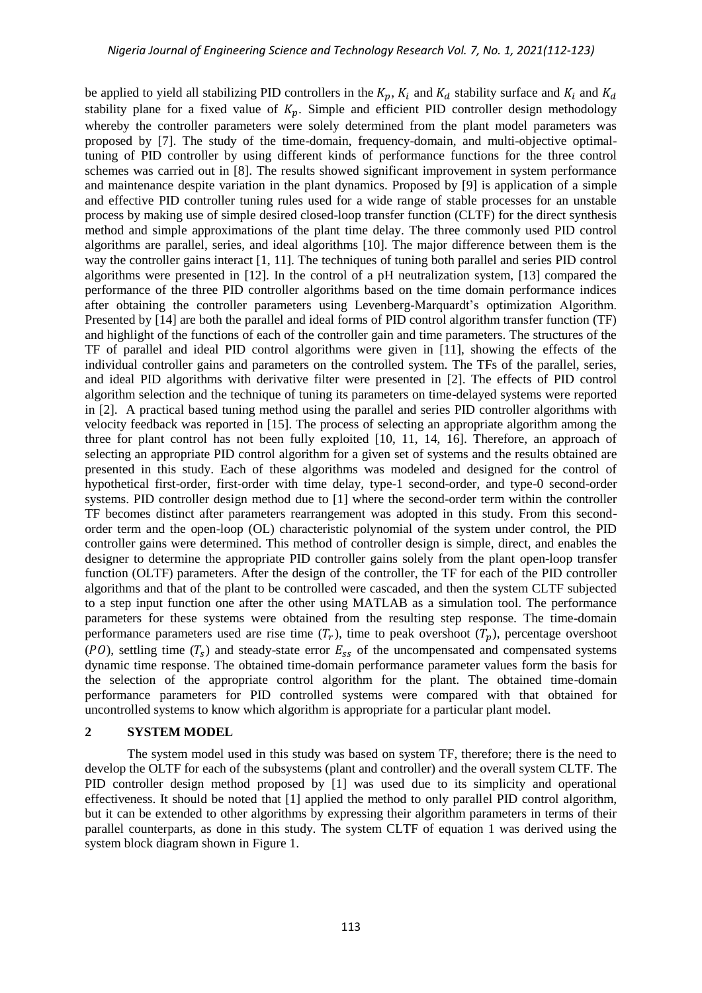be applied to yield all stabilizing PID controllers in the  $K_p$ ,  $K_i$  and  $K_d$  stability surface and  $K_i$  and  $K_d$ stability plane for a fixed value of  $K_p$ . Simple and efficient PID controller design methodology whereby the controller parameters were solely determined from the plant model parameters was proposed by [7]. The study of the time-domain, frequency-domain, and multi-objective optimaltuning of PID controller by using different kinds of performance functions for the three control schemes was carried out in [8]. The results showed significant improvement in system performance and maintenance despite variation in the plant dynamics. Proposed by [9] is application of a simple and effective PID controller tuning rules used for a wide range of stable processes for an unstable process by making use of simple desired closed-loop transfer function (CLTF) for the direct synthesis method and simple approximations of the plant time delay. The three commonly used PID control algorithms are parallel, series, and ideal algorithms [10]. The major difference between them is the way the controller gains interact [1, 11]. The techniques of tuning both parallel and series PID control algorithms were presented in [12]. In the control of a pH neutralization system, [13] compared the performance of the three PID controller algorithms based on the time domain performance indices after obtaining the controller parameters using Levenberg-Marquardt's optimization Algorithm. Presented by [14] are both the parallel and ideal forms of PID control algorithm transfer function (TF) and highlight of the functions of each of the controller gain and time parameters. The structures of the TF of parallel and ideal PID control algorithms were given in [11], showing the effects of the individual controller gains and parameters on the controlled system. The TFs of the parallel, series, and ideal PID algorithms with derivative filter were presented in [2]. The effects of PID control algorithm selection and the technique of tuning its parameters on time-delayed systems were reported in [2]. A practical based tuning method using the parallel and series PID controller algorithms with velocity feedback was reported in [15]. The process of selecting an appropriate algorithm among the three for plant control has not been fully exploited [10, 11, 14, 16]. Therefore, an approach of selecting an appropriate PID control algorithm for a given set of systems and the results obtained are presented in this study. Each of these algorithms was modeled and designed for the control of hypothetical first-order, first-order with time delay, type-1 second-order, and type-0 second-order systems. PID controller design method due to [1] where the second-order term within the controller TF becomes distinct after parameters rearrangement was adopted in this study. From this secondorder term and the open-loop (OL) characteristic polynomial of the system under control, the PID controller gains were determined. This method of controller design is simple, direct, and enables the designer to determine the appropriate PID controller gains solely from the plant open-loop transfer function (OLTF) parameters. After the design of the controller, the TF for each of the PID controller algorithms and that of the plant to be controlled were cascaded, and then the system CLTF subjected to a step input function one after the other using MATLAB as a simulation tool. The performance parameters for these systems were obtained from the resulting step response. The time-domain performance parameters used are rise time  $(T_r)$ , time to peak overshoot  $(T_n)$ , percentage overshoot (PO), settling time  $(T<sub>s</sub>)$  and steady-state error  $E<sub>ss</sub>$  of the uncompensated and compensated systems dynamic time response. The obtained time-domain performance parameter values form the basis for the selection of the appropriate control algorithm for the plant. The obtained time-domain performance parameters for PID controlled systems were compared with that obtained for uncontrolled systems to know which algorithm is appropriate for a particular plant model.

#### **2 SYSTEM MODEL**

The system model used in this study was based on system TF, therefore; there is the need to develop the OLTF for each of the subsystems (plant and controller) and the overall system CLTF. The PID controller design method proposed by [1] was used due to its simplicity and operational effectiveness. It should be noted that [1] applied the method to only parallel PID control algorithm, but it can be extended to other algorithms by expressing their algorithm parameters in terms of their parallel counterparts, as done in this study. The system CLTF of equation 1 was derived using the system block diagram shown in Figure 1.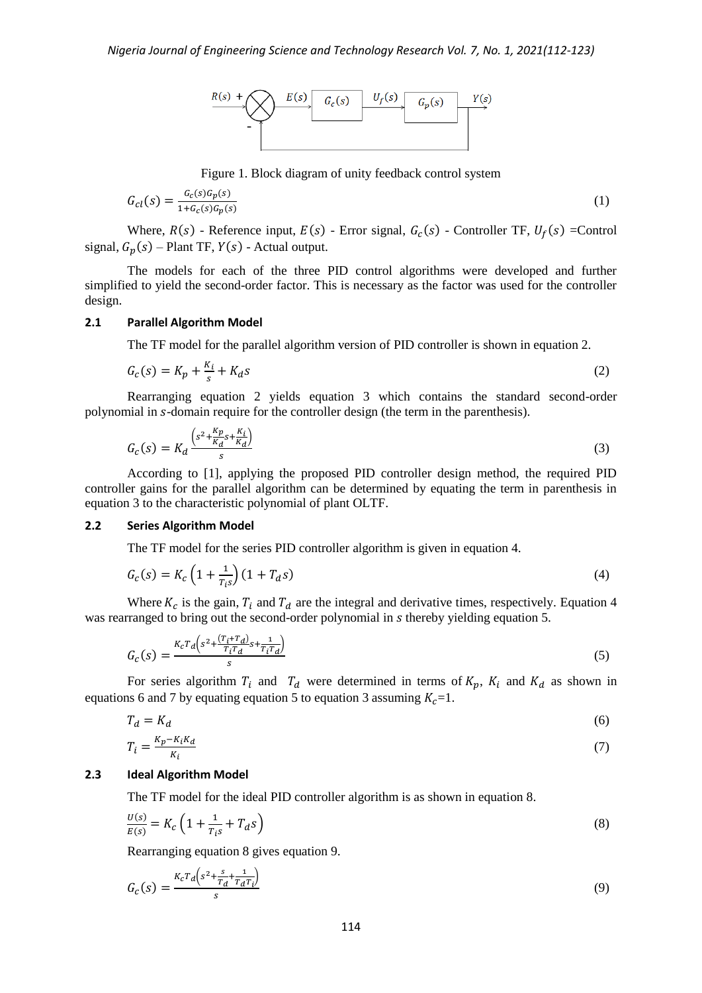

Figure 1. Block diagram of unity feedback control system

$$
G_{cl}(s) = \frac{G_c(s)G_p(s)}{1 + G_c(s)G_p(s)}\tag{1}
$$

Where,  $R(s)$  - Reference input,  $E(s)$  - Error signal,  $G_c(s)$  - Controller TF,  $U_f(s)$  = Control signal,  $G_p(s)$  – Plant TF,  $Y(s)$  - Actual output.

The models for each of the three PID control algorithms were developed and further simplified to yield the second-order factor. This is necessary as the factor was used for the controller design.

### **2.1 Parallel Algorithm Model**

The TF model for the parallel algorithm version of PID controller is shown in equation 2.

$$
G_c(s) = K_p + \frac{K_i}{s} + K_d s \tag{2}
$$

Rearranging equation 2 yields equation 3 which contains the standard second-order polynomial in s-domain require for the controller design (the term in the parenthesis).

$$
G_c(s) = K_d \frac{\left(s^2 + \frac{K_p}{K_d} s + \frac{K_i}{K_d}\right)}{s} \tag{3}
$$

According to [1], applying the proposed PID controller design method, the required PID controller gains for the parallel algorithm can be determined by equating the term in parenthesis in equation 3 to the characteristic polynomial of plant OLTF.

#### **2.2 Series Algorithm Model**

The TF model for the series PID controller algorithm is given in equation 4.

$$
G_c(s) = K_c \left(1 + \frac{1}{T_i s}\right) \left(1 + T_d s\right) \tag{4}
$$

Where  $K_c$  is the gain,  $T_i$  and  $T_d$  are the integral and derivative times, respectively. Equation 4 was rearranged to bring out the second-order polynomial in s thereby yielding equation 5.

$$
G_c(s) = \frac{\kappa_c r_d \left(s^2 + \frac{(r_i + r_d)}{r_i r_d} s + \frac{1}{r_i r_d}\right)}{s} \tag{5}
$$

For series algorithm  $T_i$  and  $T_d$  were determined in terms of  $K_p$ ,  $K_i$  and  $K_d$  as shown in equations 6 and 7 by equating equation 5 to equation 3 assuming  $K_c=1$ .

$$
T_d = K_d \tag{6}
$$

$$
T_i = \frac{K_p - K_i K_d}{K_i} \tag{7}
$$

#### **2.3 Ideal Algorithm Model**

The TF model for the ideal PID controller algorithm is as shown in equation 8.

$$
\frac{U(s)}{E(s)} = K_c \left( 1 + \frac{1}{T_i s} + T_d s \right) \tag{8}
$$

Rearranging equation 8 gives equation 9.

$$
G_c(s) = \frac{\kappa_c r_d \left(s^2 + \frac{s}{r_d} + \frac{1}{r_d r_i}\right)}{s} \tag{9}
$$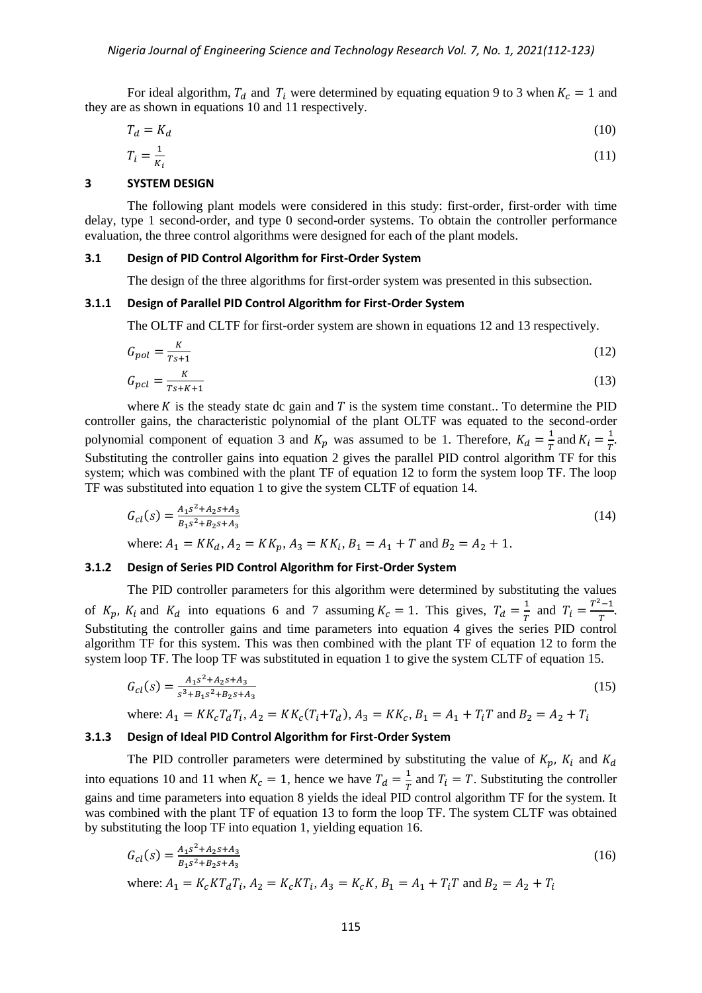For ideal algorithm,  $T_d$  and  $T_i$  were determined by equating equation 9 to 3 when  $K_c = 1$  and they are as shown in equations 10 and 11 respectively.

$$
T_d = K_d \tag{10}
$$
\n
$$
T_i = \frac{1}{K} \tag{11}
$$

$$
i =
$$

# **3 SYSTEM DESIGN**

 $\overline{K_i}$ 

The following plant models were considered in this study: first-order, first-order with time delay, type 1 second-order, and type 0 second-order systems. To obtain the controller performance evaluation, the three control algorithms were designed for each of the plant models.

#### **3.1 Design of PID Control Algorithm for First-Order System**

The design of the three algorithms for first-order system was presented in this subsection.

#### **3.1.1 Design of Parallel PID Control Algorithm for First-Order System**

The OLTF and CLTF for first-order system are shown in equations 12 and 13 respectively.

$$
G_{pol} = \frac{\kappa}{\tau_{S+1}}\tag{12}
$$

$$
G_{pcl} = \frac{\kappa}{\tau_{s+K+1}}\tag{13}
$$

where  $K$  is the steady state dc gain and  $T$  is the system time constant.. To determine the PID controller gains, the characteristic polynomial of the plant OLTF was equated to the second-order polynomial component of equation 3 and  $K_p$  was assumed to be 1. Therefore,  $K_d = \frac{1}{\pi}$  $rac{1}{T}$  and  $K_i = \frac{1}{T}$  $\frac{1}{T}$ . Substituting the controller gains into equation 2 gives the parallel PID control algorithm TF for this system; which was combined with the plant TF of equation 12 to form the system loop TF. The loop TF was substituted into equation 1 to give the system CLTF of equation 14.

$$
G_{cl}(s) = \frac{A_1 s^2 + A_2 s + A_3}{B_1 s^2 + B_2 s + A_3}
$$
  
where:  $A_1 = K K_d$ ,  $A_2 = K K_n$ ,  $A_3 = K K_i$ ,  $B_1 = A_1 + T$  and  $B_2 = A_2 + 1$ . (14)

# **3.1.2 Design of Series PID Control Algorithm for First-Order System**

The PID controller parameters for this algorithm were determined by substituting the values of  $K_p$ ,  $K_i$  and  $K_d$  into equations 6 and 7 assuming  $K_c = 1$ . This gives,  $T_d = \frac{1}{\pi}$  $rac{1}{T}$  and  $T_i = \frac{T^2}{T}$  $\frac{-1}{T}$ . Substituting the controller gains and time parameters into equation 4 gives the series PID control algorithm TF for this system. This was then combined with the plant TF of equation 12 to form the system loop TF. The loop TF was substituted in equation 1 to give the system CLTF of equation 15.

$$
G_{cl}(s) = \frac{A_1 s^2 + A_2 s + A_3}{s^3 + B_1 s^2 + B_2 s + A_3}
$$
\n(15)

# where:  $A_1 = KK_cT_dT_i$ ,  $A_2 = KK_c(T_i+T_d)$ ,  $A_3 = KK_c$ ,  $B_1 = A_1 + T_iT$  and

# **3.1.3 Design of Ideal PID Control Algorithm for First-Order System**

The PID controller parameters were determined by substituting the value of  $K_p$ ,  $K_i$  and  $K_d$ into equations 10 and 11 when  $K_c = 1$ , hence we have  $T_d = \frac{1}{\pi}$  $\frac{1}{T}$  and  $T_i = T$ . Substituting the controller gains and time parameters into equation 8 yields the ideal PID control algorithm TF for the system. It was combined with the plant TF of equation 13 to form the loop TF. The system CLTF was obtained by substituting the loop TF into equation 1, yielding equation 16.

$$
G_{cl}(s) = \frac{A_1 s^2 + A_2 s + A_3}{B_1 s^2 + B_2 s + A_3} \tag{16}
$$

where: 
$$
A_1 = K_c KT_d T_i
$$
,  $A_2 = K_c KT_i$ ,  $A_3 = K_c K$ ,  $B_1 = A_1 + T_i T$  and  $B_2 = A_2 + T_i$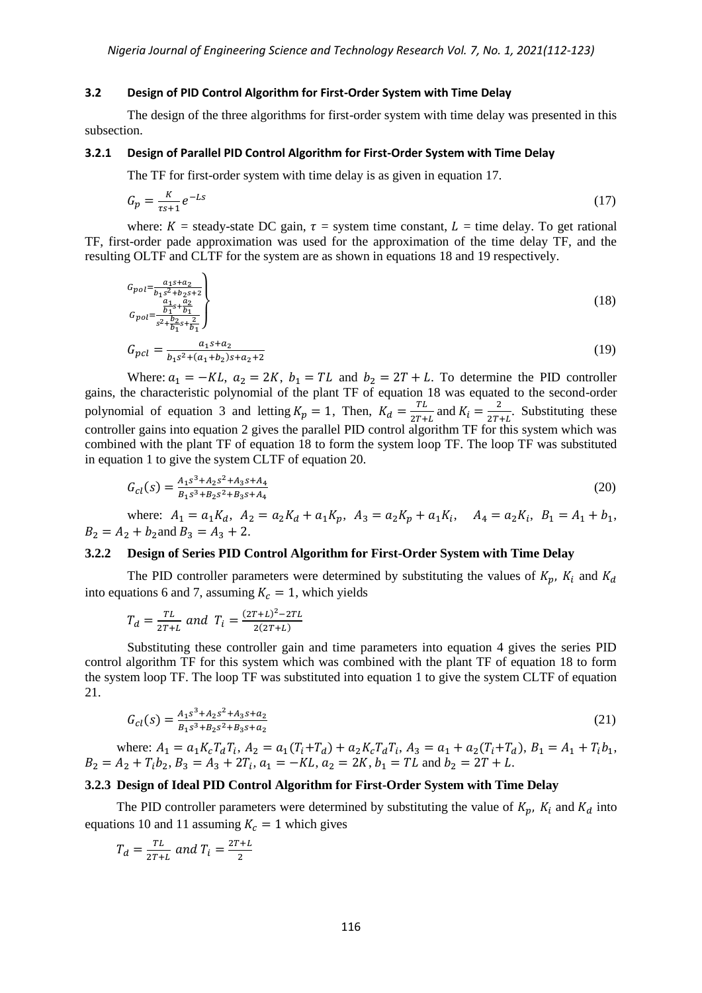#### **3.2 Design of PID Control Algorithm for First-Order System with Time Delay**

The design of the three algorithms for first-order system with time delay was presented in this subsection.

## **3.2.1 Design of Parallel PID Control Algorithm for First-Order System with Time Delay**

The TF for first-order system with time delay is as given in equation 17.

$$
G_p = \frac{\kappa}{\tau s + 1} e^{-Ls} \tag{17}
$$

where:  $K =$  steady-state DC gain,  $\tau =$  system time constant,  $L =$  time delay. To get rational TF, first-order pade approximation was used for the approximation of the time delay TF, and the resulting OLTF and CLTF for the system are as shown in equations 18 and 19 respectively.

$$
G_{pol} = \frac{a_1 s + a_2}{b_1 s^2 + b_2 s + 2}
$$
  
\n
$$
G_{pol} = \frac{\frac{a_1}{b_1} s + \frac{a_2}{b_1}}{s^2 + \frac{b_2}{b_1} s + \frac{a_2}{b_1}}
$$
 (18)

$$
G_{pcl} = \frac{a_1 s + a_2}{b_1 s^2 + (a_1 + b_2)s + a_2 + 2} \tag{19}
$$

Where:  $a_1 = -KL$ ,  $a_2 = 2K$ ,  $b_1 = TL$  and  $b_2 = 2T + L$ . To determine the PID controller gains, the characteristic polynomial of the plant TF of equation 18 was equated to the second-order polynomial of equation 3 and letting  $K_p = 1$ , Then,  $K_d = \frac{T}{2\pi}$  $\frac{TL}{2T+L}$  and  $K_i = \frac{2}{2T}$ .  $\frac{2}{2T+L}$ . Substituting these controller gains into equation 2 gives the parallel PID control algorithm TF for this system which was combined with the plant TF of equation 18 to form the system loop TF. The loop TF was substituted in equation 1 to give the system CLTF of equation 20.

$$
G_{cl}(s) = \frac{A_1 s^3 + A_2 s^2 + A_3 s + A_4}{B_1 s^3 + B_2 s^2 + B_3 s + A_4}
$$
\n<sup>(20)</sup>

where:  $A_1 = a_1 K_d$ ,  $A_2 = a_2 K_d + a_1 K_p$ ,  $A_3 = a_2 K_p + a_1 K_i$ ,  $A_4 = a_2 K_i$ ,  $B_1 = A_1 + b_1$ ,  $B_2 = A_2 + b_2$  and  $B_3 = A_3 + 2$ .

### **3.2.2 Design of Series PID Control Algorithm for First-Order System with Time Delay**

The PID controller parameters were determined by substituting the values of  $K_p$ ,  $K_i$  and  $K_d$ into equations 6 and 7, assuming  $K_c = 1$ , which yields

$$
T_d = \frac{TL}{2T + L} \text{ and } T_i = \frac{(2T + L)^2 - 2TL}{2(2T + L)}
$$

Substituting these controller gain and time parameters into equation 4 gives the series PID control algorithm TF for this system which was combined with the plant TF of equation 18 to form the system loop TF. The loop TF was substituted into equation 1 to give the system CLTF of equation 21.

$$
G_{cl}(s) = \frac{A_1 s^3 + A_2 s^2 + A_3 s + a_2}{B_1 s^3 + B_2 s^2 + B_3 s + a_2}
$$
\n<sup>(21)</sup>

where:  $A_1 = a_1 K_c T_d T_i$ ,  $A_2 = a_1 (T_i + T_d) + a_2 K_c T_d T_i$ ,  $A_3 = a_1 + a_2 (T_i + T_d)$ ,  $B_1 = A_1 + T_i b_1$ ,  $B_2 = A_2 + T_1 b_2$ ,  $B_3 = A_3 + 2T_1$ ,  $a_1 = -KL$ ,  $a_2 = 2K$ ,  $b_1 = TL$  and  $b_2 = 2T + L$ .

### **3.2.3 Design of Ideal PID Control Algorithm for First-Order System with Time Delay**

The PID controller parameters were determined by substituting the value of  $K_n$ ,  $K_i$  and  $K_d$  into equations 10 and 11 assuming  $K_c = 1$  which gives

$$
T_d = \frac{TL}{2T + L} \text{ and } T_i = \frac{2T + L}{2}
$$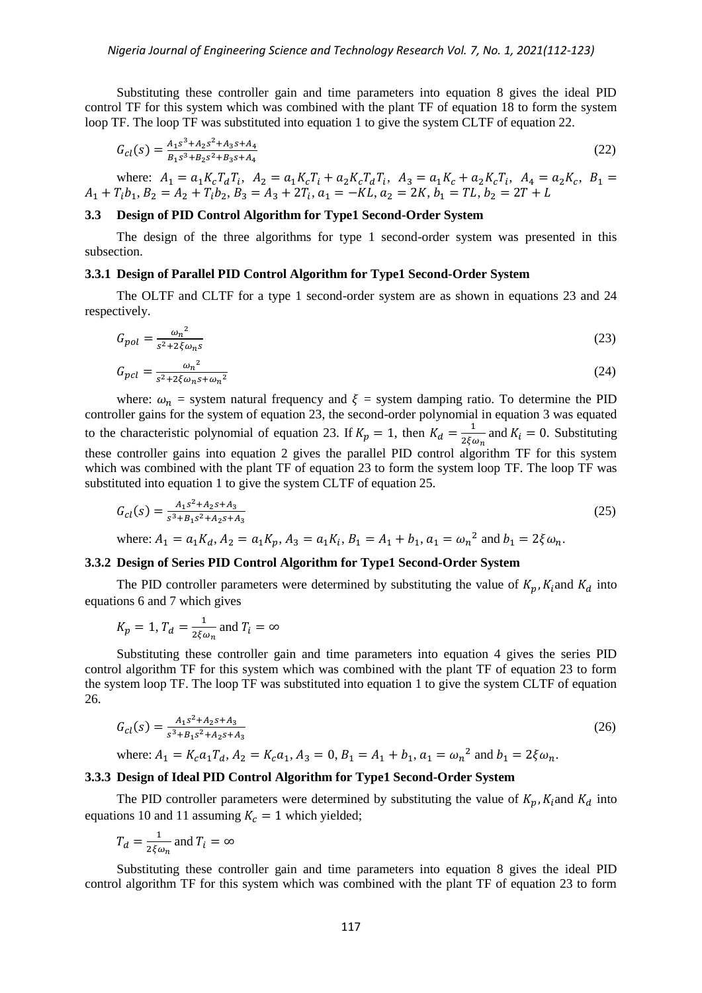Substituting these controller gain and time parameters into equation 8 gives the ideal PID control TF for this system which was combined with the plant TF of equation 18 to form the system loop TF. The loop TF was substituted into equation 1 to give the system CLTF of equation 22.

$$
G_{cl}(s) = \frac{A_1 s^3 + A_2 s^2 + A_3 s + A_4}{B_1 s^3 + B_2 s^2 + B_3 s + A_4}
$$
\n
$$
(22)
$$

where:  $A_1 = a_1 K_c T_d T_i$ ,  $A_2 = a_1 K_c T_i + a_2 K_c T_d T_i$ ,  $A_3 = a_1 K_c + a_2 K_c T_i$ ,  $A_4 = a_2 K_c$ ,  $A_1 + T_i b_1, B_2 = A_2 + T_i b_2, B_3 = A_3 + 2T_i, a_1 = -KL, a_2 = 2K, b_1 = TL,$ 

# **3.3 Design of PID Control Algorithm for Type1 Second-Order System**

The design of the three algorithms for type 1 second-order system was presented in this subsection.

#### **3.3.1 Design of Parallel PID Control Algorithm for Type1 Second-Order System**

The OLTF and CLTF for a type 1 second-order system are as shown in equations 23 and 24 respectively.

$$
G_{pol} = \frac{\omega_n^2}{s^2 + 2\xi \omega_n s} \tag{23}
$$

$$
G_{pcl} = \frac{\omega_n^2}{s^2 + 2\xi\omega_n s + \omega_n^2}
$$

where:  $\omega_n$  = system natural frequency and  $\xi$  = system damping ratio. To determine the PID controller gains for the system of equation 23, the second-order polynomial in equation 3 was equated to the characteristic polynomial of equation 23. If  $K_n = 1$ , then  $K_d = \frac{1}{2K}$  $\frac{1}{2\xi\omega_n}$  and  $K_i = 0$ . Substituting these controller gains into equation 2 gives the parallel PID control algorithm TF for this system which was combined with the plant TF of equation 23 to form the system loop TF. The loop TF was substituted into equation 1 to give the system CLTF of equation 25.

$$
G_{cl}(s) = \frac{A_1 s^2 + A_2 s + A_3}{s^3 + B_1 s^2 + A_2 s + A_3}
$$
\n(25)

where: 
$$
A_1 = a_1 K_d
$$
,  $A_2 = a_1 K_p$ ,  $A_3 = a_1 K_i$ ,  $B_1 = A_1 + b_1$ ,  $a_1 = \omega_n^2$  and  $b_1 = 2\xi \omega_n$ .

#### **3.3.2 Design of Series PID Control Algorithm for Type1 Second-Order System**

The PID controller parameters were determined by substituting the value of  $K_p$ ,  $K_i$  and  $K_d$  into equations 6 and 7 which gives

$$
K_p = 1, T_d = \frac{1}{2\xi\omega_n} \text{ and } T_i = \infty
$$

Substituting these controller gain and time parameters into equation 4 gives the series PID control algorithm TF for this system which was combined with the plant TF of equation 23 to form the system loop TF. The loop TF was substituted into equation 1 to give the system CLTF of equation 26.

$$
G_{cl}(s) = \frac{A_1 s^2 + A_2 s + A_3}{s^3 + B_1 s^2 + A_2 s + A_3}
$$
\n(26)

where: 
$$
A_1 = K_c a_1 T_d
$$
,  $A_2 = K_c a_1$ ,  $A_3 = 0$ ,  $B_1 = A_1 + b_1$ ,  $a_1 = \omega_n^2$  and  $b_1 = 2\xi \omega_n$ .

#### **3.3.3 Design of Ideal PID Control Algorithm for Type1 Second-Order System**

The PID controller parameters were determined by substituting the value of  $K_p$ ,  $K_i$  and  $K_d$  into equations 10 and 11 assuming  $K_c = 1$  which yielded;

$$
T_d = \frac{1}{2\xi\omega_n}
$$
 and  $T_i = \infty$ 

Substituting these controller gain and time parameters into equation 8 gives the ideal PID control algorithm TF for this system which was combined with the plant TF of equation 23 to form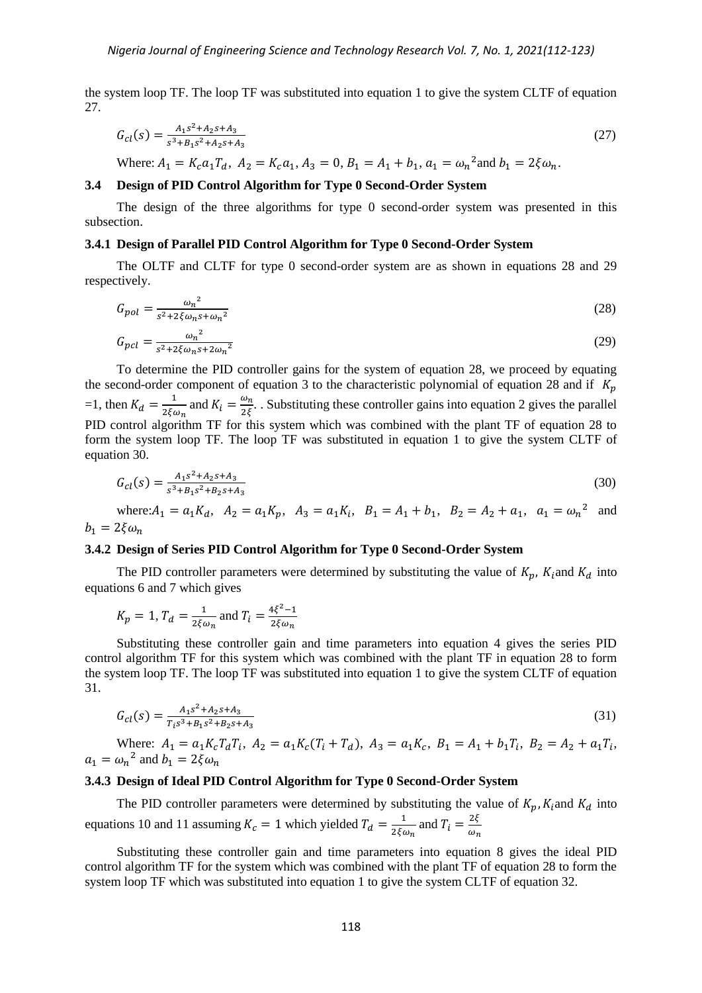the system loop TF. The loop TF was substituted into equation 1 to give the system CLTF of equation 27.

$$
G_{cl}(s) = \frac{A_1 s^2 + A_2 s + A_3}{s^3 + B_1 s^2 + A_2 s + A_3}
$$
\n<sup>(27)</sup>

Where:  $A_1 = K_c a_1 T_d$ ,  $A_2 = K_c a_1$ ,  $A_3 = 0$ ,  $B_1 = A_1 + b_1$ ,  $a_1 = \omega_n^2$  and  $b_1 = 2\xi \omega_n$ .

#### **3.4 Design of PID Control Algorithm for Type 0 Second-Order System**

The design of the three algorithms for type 0 second-order system was presented in this subsection.

#### **3.4.1 Design of Parallel PID Control Algorithm for Type 0 Second-Order System**

The OLTF and CLTF for type 0 second-order system are as shown in equations 28 and 29 respectively.

$$
G_{pol} = \frac{\omega_n^2}{s^2 + 2\xi\omega_n s + \omega_n^2} \tag{28}
$$

$$
G_{pcl} = \frac{\omega_n^2}{s^2 + 2\xi\omega_n s + 2\omega_n^2}
$$
 (29)

To determine the PID controller gains for the system of equation 28, we proceed by equating the second-order component of equation 3 to the characteristic polynomial of equation 28 and if  $K_p$ =1, then  $K_d = \frac{1}{25}$  $\frac{1}{2\xi\omega_n}$  and  $K_i = \frac{\omega}{2}$  $\frac{\omega_n}{2\xi}$ . Substituting these controller gains into equation 2 gives the parallel PID control algorithm TF for this system which was combined with the plant TF of equation 28 to form the system loop TF. The loop TF was substituted in equation 1 to give the system CLTF of equation 30.

$$
G_{cl}(s) = \frac{A_1 s^2 + A_2 s + A_3}{s^3 + B_1 s^2 + B_2 s + A_3}
$$
\n(30)

where:  $A_1 = a_1 K_d$ ,  $A_2 = a_1 K_p$ ,  $A_3 = a_1 K_i$ ,  $B_1 = A_1 + b_1$ ,  $B_2 = A_2 + a_1$ ,  $a_1 = \omega_n^2$  and  $b_1 = 2\xi \omega_n$ 

### **3.4.2 Design of Series PID Control Algorithm for Type 0 Second-Order System**

The PID controller parameters were determined by substituting the value of  $K_p$ ,  $K_i$  and  $K_d$  into equations 6 and 7 which gives

$$
K_p = 1, T_d = \frac{1}{2\xi\omega_n}
$$
 and  $T_i = \frac{4\xi^2 - 1}{2\xi\omega_n}$ 

Substituting these controller gain and time parameters into equation 4 gives the series PID control algorithm TF for this system which was combined with the plant TF in equation 28 to form the system loop TF. The loop TF was substituted into equation 1 to give the system CLTF of equation 31.

$$
G_{cl}(s) = \frac{A_1 s^2 + A_2 s + A_3}{T_i s^3 + B_1 s^2 + B_2 s + A_3}
$$
\n(31)

Where:  $A_1 = a_1 K_c T_d T_i$ ,  $A_2 = a_1 K_c (T_i + T_d)$ ,  $A_3 = a_1 K_c$ ,  $B_1 = A_1 + b_1 T_i$ ,  $B_2 = A_2 + a_1 T_i$ ,  $a_1 = \omega_n^2$  and

# **3.4.3 Design of Ideal PID Control Algorithm for Type 0 Second-Order System**

The PID controller parameters were determined by substituting the value of  $K_p$ ,  $K_i$  and  $K_d$  into equations 10 and 11 assuming  $K_c = 1$  which yielded  $T_d = \frac{1}{2K}$  $\frac{1}{2\xi\omega_n}$  and  $T_i = \frac{2}{\omega}$  $\omega$ 

Substituting these controller gain and time parameters into equation 8 gives the ideal PID control algorithm TF for the system which was combined with the plant TF of equation 28 to form the system loop TF which was substituted into equation 1 to give the system CLTF of equation 32.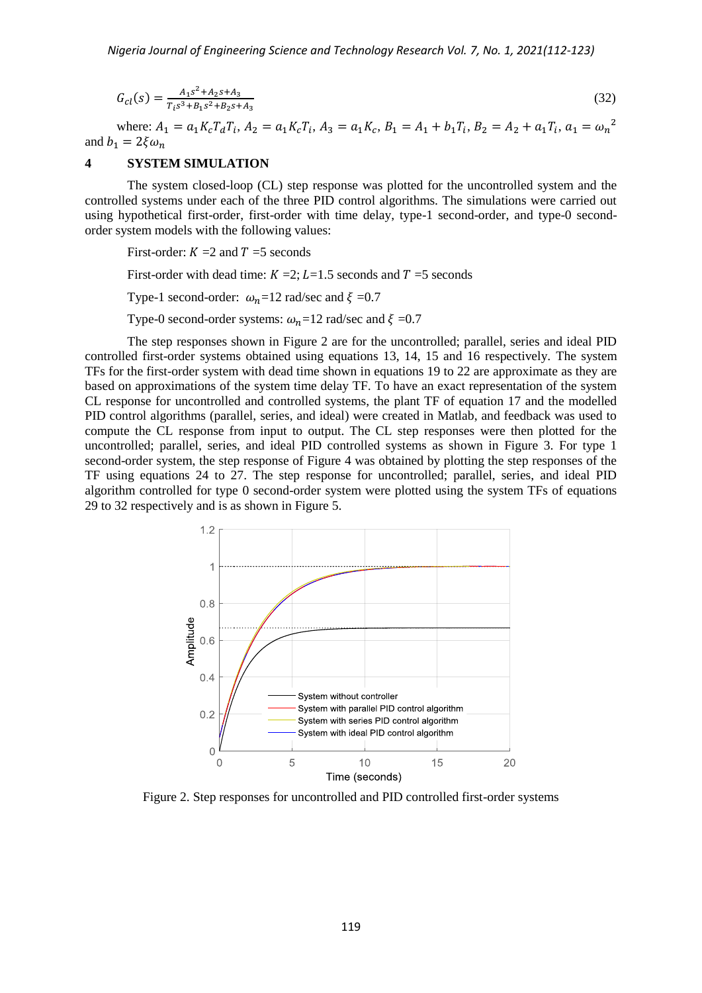$$
G_{cl}(s) = \frac{A_1 s^2 + A_2 s + A_3}{T_i s^3 + B_1 s^2 + B_2 s + A_3}
$$
\n(32)

where:  $A_1 = a_1 K_c T_d T_i$ ,  $A_2 = a_1 K_c T_i$ ,  $A_3 = a_1 K_c$ ,  $B_1 = A_1 + b_1 T_i$ ,  $B_2 = A_2 + a_1 T_i$ ,  $a_1 = \omega_n^2$ and  $b_1 = 2\xi \omega_n$ 

# **4 SYSTEM SIMULATION**

The system closed-loop (CL) step response was plotted for the uncontrolled system and the controlled systems under each of the three PID control algorithms. The simulations were carried out using hypothetical first-order, first-order with time delay, type-1 second-order, and type-0 secondorder system models with the following values:

First-order:  $K = 2$  and  $T = 5$  seconds

First-order with dead time:  $K = 2$ ;  $L = 1.5$  seconds and  $T = 5$  seconds

Type-1 second-order:  $\omega_n = 12$  rad/sec and  $\xi = 0.7$ 

Type-0 second-order systems:  $\omega_n = 12$  rad/sec and  $\xi = 0.7$ 

The step responses shown in Figure 2 are for the uncontrolled; parallel, series and ideal PID controlled first-order systems obtained using equations 13, 14, 15 and 16 respectively. The system TFs for the first-order system with dead time shown in equations 19 to 22 are approximate as they are based on approximations of the system time delay TF. To have an exact representation of the system CL response for uncontrolled and controlled systems, the plant TF of equation 17 and the modelled PID control algorithms (parallel, series, and ideal) were created in Matlab, and feedback was used to compute the CL response from input to output. The CL step responses were then plotted for the uncontrolled; parallel, series, and ideal PID controlled systems as shown in Figure 3. For type 1 second-order system, the step response of Figure 4 was obtained by plotting the step responses of the TF using equations 24 to 27. The step response for uncontrolled; parallel, series, and ideal PID algorithm controlled for type 0 second-order system were plotted using the system TFs of equations 29 to 32 respectively and is as shown in Figure 5.



Figure 2. Step responses for uncontrolled and PID controlled first-order systems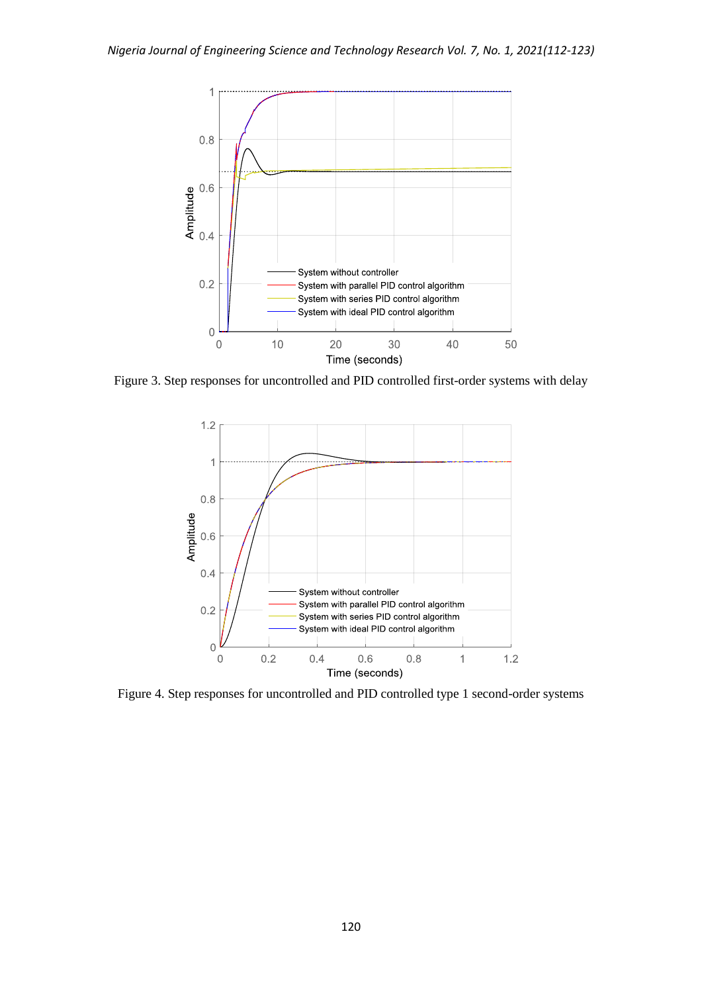

Figure 3. Step responses for uncontrolled and PID controlled first-order systems with delay



Figure 4. Step responses for uncontrolled and PID controlled type 1 second-order systems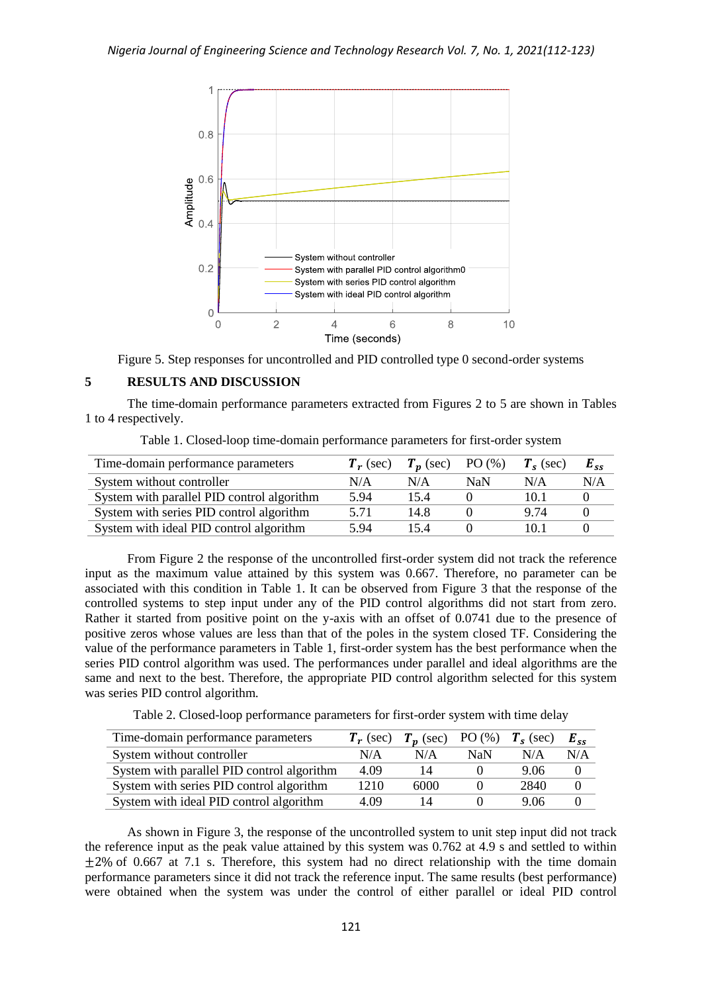

Figure 5. Step responses for uncontrolled and PID controlled type 0 second-order systems

# **5 RESULTS AND DISCUSSION**

The time-domain performance parameters extracted from Figures 2 to 5 are shown in Tables 1 to 4 respectively.

| Table 1. Closed-loop time-domain performance parameters for first-order system |  |  |
|--------------------------------------------------------------------------------|--|--|
|--------------------------------------------------------------------------------|--|--|

| Time-domain performance parameters         | $T_r$ (sec) | $T_n$ (sec) | PO(%) | $T_s$ (sec) | $E_{ss}$ |
|--------------------------------------------|-------------|-------------|-------|-------------|----------|
| System without controller                  | N/A         | N/A         | NaN   | N/A         | N/A      |
| System with parallel PID control algorithm | 5.94        | 15.4        |       | 10.1        |          |
| System with series PID control algorithm   | 5 7 1       | 14.8        |       | 9 74        |          |
| System with ideal PID control algorithm    | 5.94        | 154         |       | 10.1        |          |

From Figure 2 the response of the uncontrolled first-order system did not track the reference input as the maximum value attained by this system was 0.667. Therefore, no parameter can be associated with this condition in Table 1. It can be observed from Figure 3 that the response of the controlled systems to step input under any of the PID control algorithms did not start from zero. Rather it started from positive point on the y-axis with an offset of 0.0741 due to the presence of positive zeros whose values are less than that of the poles in the system closed TF. Considering the value of the performance parameters in Table 1, first-order system has the best performance when the series PID control algorithm was used. The performances under parallel and ideal algorithms are the same and next to the best. Therefore, the appropriate PID control algorithm selected for this system was series PID control algorithm.

Table 2. Closed-loop performance parameters for first-order system with time delay

| Time-domain performance parameters         | $T_r$ (sec) | $T_n$ (sec) PO (%) $T_s$ (sec) |     |      | $E_{ss}$ |
|--------------------------------------------|-------------|--------------------------------|-----|------|----------|
| System without controller                  | N/A         | N/A                            | NaN | N/A  | N/A      |
| System with parallel PID control algorithm | 4.09        | 14                             |     | 9.06 |          |
| System with series PID control algorithm   | 1210        | 6000                           |     | 2840 |          |
| System with ideal PID control algorithm    | 4.09        | 14                             |     | 9.06 |          |

As shown in Figure 3, the response of the uncontrolled system to unit step input did not track the reference input as the peak value attained by this system was 0.762 at 4.9 s and settled to within  $+2\%$  of 0.667 at 7.1 s. Therefore, this system had no direct relationship with the time domain performance parameters since it did not track the reference input. The same results (best performance) were obtained when the system was under the control of either parallel or ideal PID control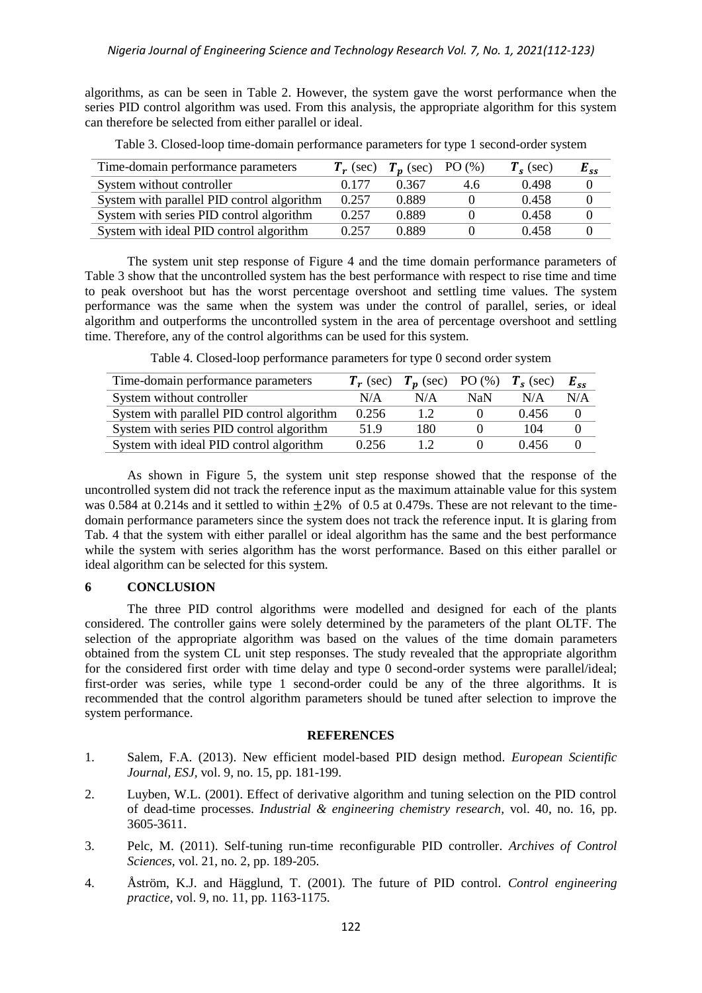algorithms, as can be seen in Table 2. However, the system gave the worst performance when the series PID control algorithm was used. From this analysis, the appropriate algorithm for this system can therefore be selected from either parallel or ideal.

| Time-domain performance parameters         | $T_r$ (sec) | $T_n$ (sec) PO $(\%)$ |     | $T_s$ (sec) | $E_{ss}$ |
|--------------------------------------------|-------------|-----------------------|-----|-------------|----------|
| System without controller                  | 0.177       | 0.367                 | 4.6 | 0.498       |          |
| System with parallel PID control algorithm | 0.257       | 0.889                 |     | 0.458       |          |
| System with series PID control algorithm   | 0.257       | 0.889                 |     | 0.458       |          |
| System with ideal PID control algorithm    | 0.257       | 0.889                 |     | 0.458       |          |

Table 3. Closed-loop time-domain performance parameters for type 1 second-order system

The system unit step response of Figure 4 and the time domain performance parameters of Table 3 show that the uncontrolled system has the best performance with respect to rise time and time to peak overshoot but has the worst percentage overshoot and settling time values. The system performance was the same when the system was under the control of parallel, series, or ideal algorithm and outperforms the uncontrolled system in the area of percentage overshoot and settling time. Therefore, any of the control algorithms can be used for this system.

| Time-domain performance parameters         | $T_r$ (sec) | $T_n$ (sec) PO (%) |     | $T_s$ (sec) | $E_{cc}$ |
|--------------------------------------------|-------------|--------------------|-----|-------------|----------|
| System without controller                  | N/A         | N/A                | NaN | N/A         | N/A      |
| System with parallel PID control algorithm | 0.256       | 1.2                |     | 0.456       | $\Omega$ |
| System with series PID control algorithm   | 51.9        | 180                |     | 104         |          |
| System with ideal PID control algorithm    | 0.256       |                    |     | 0.456       |          |

Table 4. Closed-loop performance parameters for type 0 second order system

As shown in Figure 5, the system unit step response showed that the response of the uncontrolled system did not track the reference input as the maximum attainable value for this system was 0.584 at 0.214s and it settled to within  $\pm 2\%$  of 0.5 at 0.479s. These are not relevant to the timedomain performance parameters since the system does not track the reference input. It is glaring from Tab. 4 that the system with either parallel or ideal algorithm has the same and the best performance while the system with series algorithm has the worst performance. Based on this either parallel or ideal algorithm can be selected for this system.

# **6 CONCLUSION**

The three PID control algorithms were modelled and designed for each of the plants considered. The controller gains were solely determined by the parameters of the plant OLTF. The selection of the appropriate algorithm was based on the values of the time domain parameters obtained from the system CL unit step responses. The study revealed that the appropriate algorithm for the considered first order with time delay and type 0 second-order systems were parallel/ideal; first-order was series, while type 1 second-order could be any of the three algorithms. It is recommended that the control algorithm parameters should be tuned after selection to improve the system performance.

# **REFERENCES**

- 1. Salem, F.A. (2013). New efficient model-based PID design method. *European Scientific Journal, ESJ,* vol. 9, no. 15, pp. 181-199.
- 2. Luyben, W.L. (2001). Effect of derivative algorithm and tuning selection on the PID control of dead-time processes. *Industrial & engineering chemistry research,* vol. 40, no. 16, pp. 3605-3611.
- 3. Pelc, M. (2011). Self-tuning run-time reconfigurable PID controller. *Archives of Control Sciences,* vol. 21, no. 2, pp. 189-205.
- 4. Åström, K.J. and Hägglund, T. (2001). The future of PID control. *Control engineering practice,* vol. 9, no. 11, pp. 1163-1175.